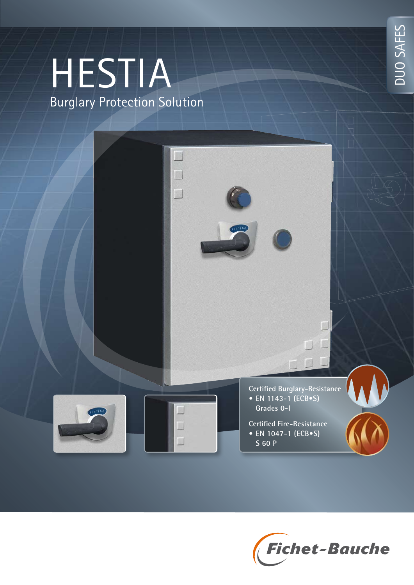# HESTIA Burglary Protection Solution





DUO SAFES DUO SAFES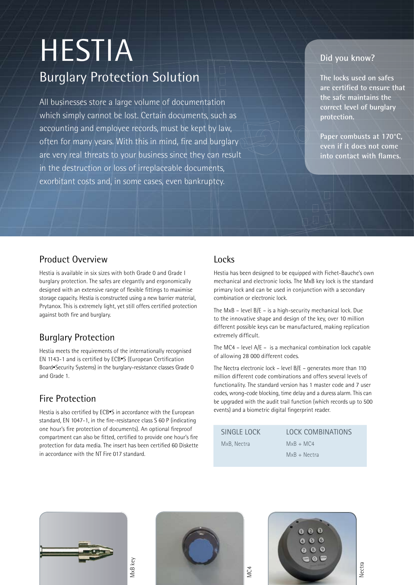## HESTIA Burglary Protection Solution

All businesses store a large volume of documentation which simply cannot be lost. Certain documents, such as accounting and employee records, must be kept by law, often for many years. With this in mind, fire and burglary are very real threats to your business since they can result in the destruction or loss of irreplaceable documents, exorbitant costs and, in some cases, even bankruptcy.

#### **Did you know?**

**The locks used on safes are certified to ensure that the safe maintains the correct level of burglary protection.**

**Paper combusts at 170°C, even if it does not come into contact with flames.**

#### Product Overview

Hestia is available in six sizes with both Grade 0 and Grade I burglary protection. The safes are elegantly and ergonomically designed with an extensive range of flexible fittings to maximise storage capacity. Hestia is constructed using a new barrier material, Prytanox. This is extremely light, yet still offers certified protection against both fire and burglary.

#### Burglary Protection

Hestia meets the requirements of the internationally recognised EN 1143-1 and is certified by ECB•S (European Certification Board•Security Systems) in the burglary-resistance classes Grade 0 and Grade 1.

#### Fire Protection

Hestia is also certified by ECB•S in accordance with the European standard, EN 1047-1, in the fire-resistance class S 60 P (indicating one hour's fire protection of documents). An optional fireproof compartment can also be fitted, certified to provide one hour's fire protection for data media. The insert has been certified 60 Diskette in accordance with the NT Fire 017 standard.

MxB key

#### Locks

 $\Box$ 

Hestia has been designed to be equipped with Fichet-Bauche's own mechanical and electronic locks. The MxB key lock is the standard primary lock and can be used in conjunction with a secondary combination or electronic lock.

The MxB – level B/E – is a high-security mechanical lock. Due to the innovative shape and design of the key, over 10 million different possible keys can be manufactured, making replication extremely difficult.

The MC4 – level A/E – is a mechanical combination lock capable of allowing 28 000 different codes.

The Nectra electronic lock – level B/E – generates more than 110 million different code combinations and offers several levels of functionality. The standard version has 1 master code and 7 user codes, wrong-code blocking, time delay and a duress alarm. This can be upgraded with the audit trail function (which records up to 500 events) and a biometric digital fingerprint reader.

SINGLE LOCK MxB, Nectra

LOCK COMBINATIONS  $MxB + MC4$ 

MxB + Nectra



 $000$  $000$  $000$  $\bullet$ 

Nectra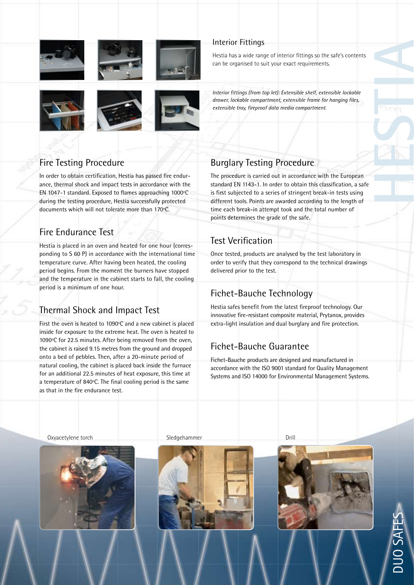







## Fire Testing Procedure

In order to obtain certification, Hestia has passed fire endurance, thermal shock and impact tests in accordance with the EN 1047-1 standard. Exposed to flames approaching 1000ºC during the testing procedure, Hestia successfully protected documents which will not tolerate more than 170ºC.

## Fire Endurance Test

Hestia is placed in an oven and heated for one hour (corresponding to S 60 P) in accordance with the international time temperature curve. After having been heated, the cooling period begins. From the moment the burners have stopped and the temperature in the cabinet starts to fall, the cooling period is a minimum of one hour.

### Thermal Shock and Impact Test

First the oven is heated to 1090ºC and a new cabinet is placed inside for exposure to the extreme heat. The oven is heated to 1090ºC for 22.5 minutes. After being removed from the oven, the cabinet is raised 9.15 metres from the ground and dropped onto a bed of pebbles. Then, after a 20-minute period of natural cooling, the cabinet is placed back inside the furnace for an additional 22.5 minutes of heat exposure, this time at a temperature of 840ºC. The final cooling period is the same as that in the fire endurance test.

#### Interior Fittings

Hestia has a wide range of interior fittings so the safe's contents can be organised to suit your exact requirements.

*Interior fittings (from top let): Extensible shelf, extensible lockable drawer, lockable compartment, extensible frame for hanging files, extensible tray, fireproof data media compartment.*

## Burglary Testing Procedure

The procedure is carried out in accordance with the European standard EN 1143-1. In order to obtain this classification, a safe is first subjected to a series of stringent break-in tests using different tools. Points are awarded according to the length of time each break-in attempt took and the total number of points determines the grade of the safe.

#### Test Verification

Once tested, products are analysed by the test laboratory in order to verify that they correspond to the technical drawings delivered prior to the test.

### Fichet-Bauche Technology

Hestia safes benefit from the latest fireproof technology. Our innovative fire-resistant composite material, Prytanox, provides extra-light insulation and dual burglary and fire protection.

## Fichet-Bauche Guarantee

Fichet-Bauche products are designed and manufactured in accordance with the ISO 9001 standard for Quality Management Systems and ISO 14000 for Environmental Management Systems.

Oxyacetylene torch and Drill Sledgehammer Sledgehammer Drill Drill









DUO SAFES

**HESTIA**